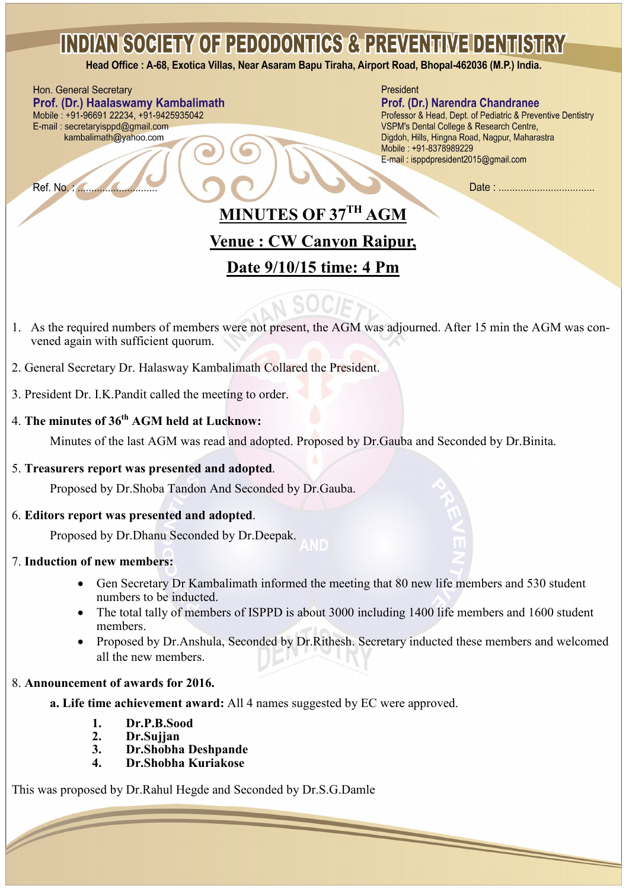Head Office: A-68, Exotica Villas, Near Asaram Bapu Tiraha, Airport Road, Bhopal-462036 (M.P.) India.

Hon. General Secretary Prof. (Dr.) Haalaswamy Kambalimath Mobile: +91-96691 22234, +91-9425935042 E-mail: secretaryisppd@gmail.com kambalimath@yahoo.com

President

#### Prof. (Dr.) Narendra Chandranee

Professor & Head, Dept. of Pediatric & Preventive Dentistry VSPM's Dental College & Research Centre, Digdoh, Hills, Hingna Road, Nagpur, Maharastra Mobile: +91-8378989229 E-mail: isppdpresident2015@gmail.com

Date: .................................

## **MINUTES OF 37TH AGM**

### **Venue : CW Canyon Raipur,**

## **Date 9/10/15 time: 4 Pm**

- 1. As the required numbers of members were not present, the AGM was adjourned. After 15 min the AGM was convened again with sufficient quorum.
- 2. General Secretary Dr. Halasway Kambalimath Collared the President.
- 3. President Dr. I.K.Pandit called the meeting to order.

### 4. **The minutes of 36th AGM held at Lucknow:**

Minutes of the last AGM was read and adopted. Proposed by Dr.Gauba and Seconded by Dr.Binita.

#### 5. **Treasurers report was presented and adopted**.

Proposed by Dr.Shoba Tandon And Seconded by Dr.Gauba.

#### 6. **Editors report was presented and adopted**.

Proposed by Dr.Dhanu Seconded by Dr.Deepak.

#### 7. **Induction of new members:**

- Gen Secretary Dr Kambalimath informed the meeting that 80 new life members and 530 student numbers to be inducted.
- The total tally of members of ISPPD is about 3000 including 1400 life members and 1600 student members.
- Proposed by Dr.Anshula, Seconded by Dr.Rithesh. Secretary inducted these members and welcomed all the new members.

 $\overline{\phantom{0}}$ 

#### 8. **Announcement of awards for 2016.**

**a. Life time achievement award:** All 4 names suggested by EC were approved.

- **1. Dr.P.B.Sood**
- **2. Dr.Sujjan**
- **3. Dr.Shobha Deshpande**
- **4. Dr.Shobha Kuriakose**

This was proposed by Dr.Rahul Hegde and Seconded by Dr.S.G.Damle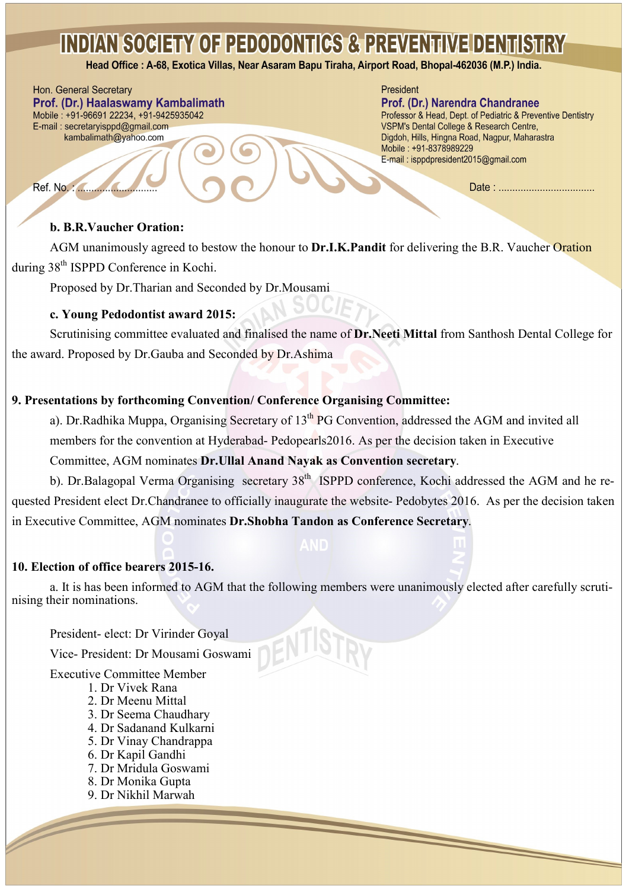Head Office: A-68, Exotica Villas, Near Asaram Bapu Tiraha, Airport Road, Bhopal-462036 (M.P.) India.

### Hon. General Secretary

Ref. No. : 4

Prof. (Dr.) Haalaswamy Kambalimath Mobile: +91-96691 22234, +91-9425935042 E-mail: secretaryisppd@gmail.com kambalimath@yahoo.com

#### President

#### Prof. (Dr.) Narendra Chandranee

Professor & Head, Dept. of Pediatric & Preventive Dentistry VSPM's Dental College & Research Centre, Digdoh, Hills, Hingna Road, Nagpur, Maharastra Mobile: +91-8378989229 E-mail: isppdpresident2015@gmail.com

#### **b. B.R.Vaucher Oration:**

AGM unanimously agreed to bestow the honour to **Dr.I.K.Pandit** for delivering the B.R. Vaucher Oration during 38<sup>th</sup> ISPPD Conference in Kochi.

Proposed by Dr.Tharian and Seconded by Dr.Mousami

#### **c. Young Pedodontist award 2015:**

Scrutinising committee evaluated and finalised the name of **Dr.Neeti Mittal** from Santhosh Dental College for the award. Proposed by Dr.Gauba and Seconded by Dr.Ashima

### **9. Presentations by forthcoming Convention/ Conference Organising Committee:**

a). Dr.Radhika Muppa, Organising Secretary of 13<sup>th</sup> PG Convention, addressed the AGM and invited all members for the convention at Hyderabad- Pedopearls2016. As per the decision taken in Executive

### Committee, AGM nominates **Dr.Ullal Anand Nayak as Convention secretary**.

b). Dr.Balagopal Verma Organising secretary 38<sup>th</sup> ISPPD conference, Kochi addressed the AGM and he requested President elect Dr.Chandranee to officially inaugurate the website- Pedobytes 2016. As per the decision taken in Executive Committee, AGM nominates **Dr.Shobha Tandon as Conference Secretary**.

#### **10. Election of office bearers 2015-16.**

a. It is has been informed to AGM that the following members were unanimously elected after carefully scrutinising their nominations.

President- elect: Dr Virinder Goyal

Vice- President: Dr Mousami Goswami

Executive Committee Member

- 1. Dr Vivek Rana
- 2. Dr Meenu Mittal
- 3. Dr Seema Chaudhary
- 4. Dr Sadanand Kulkarni
- 5. Dr Vinay Chandrappa
- 6. Dr Kapil Gandhi
- 7. Dr Mridula Goswami
- 8. Dr Monika Gupta
- 9. Dr Nikhil Marwah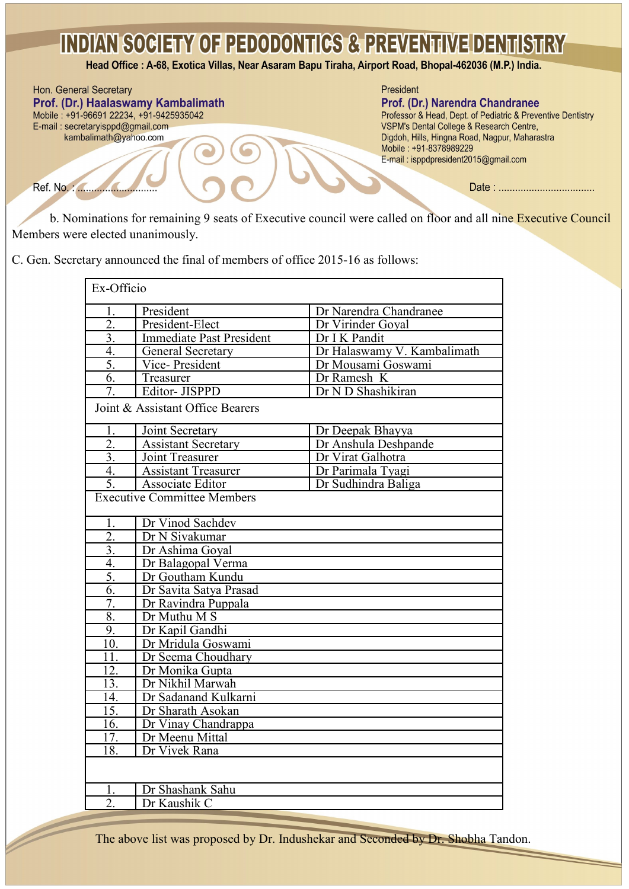Head Office : A-68, Exotica Villas, Near Asaram Bapu Tiraha, Airport Road, Bhopal-462036 (M.P.) India.

Hon. General Secretary President Prof. (Dr.) Haalaswamy Kambalimath Prof. (Dr.) Narendra Chandranee Mobile: +91-96691 22234, +91-9425935042 Professor & Head, Dept. of Pediatric & Preventive Dentistry E-mail: secretaryisppd@gmail.com VSPM's Dental College & Research Centre, kambalimath@yahoo.com Digdoh, Hills, Hingna Road, Nagpur, Maharastra Mobile: +91-8378989229 E-mail: isppdpresident2015@gmail.com Ref. No. : 4 

b. Nominations for remaining 9 seats of Executive council were called on floor and all nine Executive Council Members were elected unanimously.

C. Gen. Secretary announced the final of members of office 2015-16 as follows:

| Ex-Officio                         |                                 |                             |
|------------------------------------|---------------------------------|-----------------------------|
| Ī.                                 | President                       | Dr Narendra Chandranee      |
| $\overline{2}$ .                   | President-Elect                 | Dr Virinder Goyal           |
| $\overline{3}$ .                   | <b>Immediate Past President</b> | Dr I K Pandit               |
| $\overline{4}$ .                   | General Secretary               | Dr Halaswamy V. Kambalimath |
| 5.                                 | Vice-President                  | Dr Mousami Goswami          |
| 6.                                 | Treasurer                       | Dr Ramesh K                 |
| 7.                                 | Editor- JISPPD                  | Dr N D Shashikiran          |
| Joint & Assistant Office Bearers   |                                 |                             |
| 1.                                 | Joint Secretary                 | Dr Deepak Bhayya            |
| $\overline{2}$ .                   | <b>Assistant Secretary</b>      | Dr Anshula Deshpande        |
| $\overline{3}$ .                   | Joint Treasurer                 | Dr Virat Galhotra           |
| $\overline{4}$ .                   | <b>Assistant Treasurer</b>      | Dr Parimala Tyagi           |
| 5.                                 | Associate Editor                | Dr Sudhindra Baliga         |
| <b>Executive Committee Members</b> |                                 |                             |
| 1.                                 | Dr Vinod Sachdev                |                             |
| $\overline{2}$ .                   | Dr N Sivakumar                  |                             |
| $\overline{3}$ .                   | Dr Ashima Goyal                 |                             |
| $\overline{4}$                     | Dr Balagopal Verma              |                             |
| 5.                                 | Dr Goutham Kundu                |                             |
| $\overline{6}$                     | Dr Savita Satya Prasad          |                             |
| 7.                                 | Dr Ravindra Puppala             |                             |
| $\overline{8}$                     | Dr Muthu M S                    |                             |
| 9.                                 | Dr Kapil Gandhi                 |                             |
| 10.                                | Dr Mridula Goswami              |                             |
| 11.                                | Dr Seema Choudhary              |                             |
| 12.                                | Dr Monika Gupta                 |                             |
| 13.                                | Dr Nikhil Marwah                |                             |
| 14.                                | Dr Sadanand Kulkarni            |                             |
| 15                                 | Dr Sharath Asokan               |                             |
| 16.                                | Dr Vinay Chandrappa             |                             |
| $\overline{17}$                    | Dr Meenu Mittal                 |                             |
| 18.                                | Dr Vivek Rana                   |                             |
|                                    |                                 |                             |
| 1.                                 | Dr Shashank Sahu                |                             |
| $\overline{2}$ .                   | Dr Kaushik C                    |                             |
|                                    |                                 |                             |

The above list was proposed by Dr. Indushekar and Seconded by Dr. Shobha Tandon.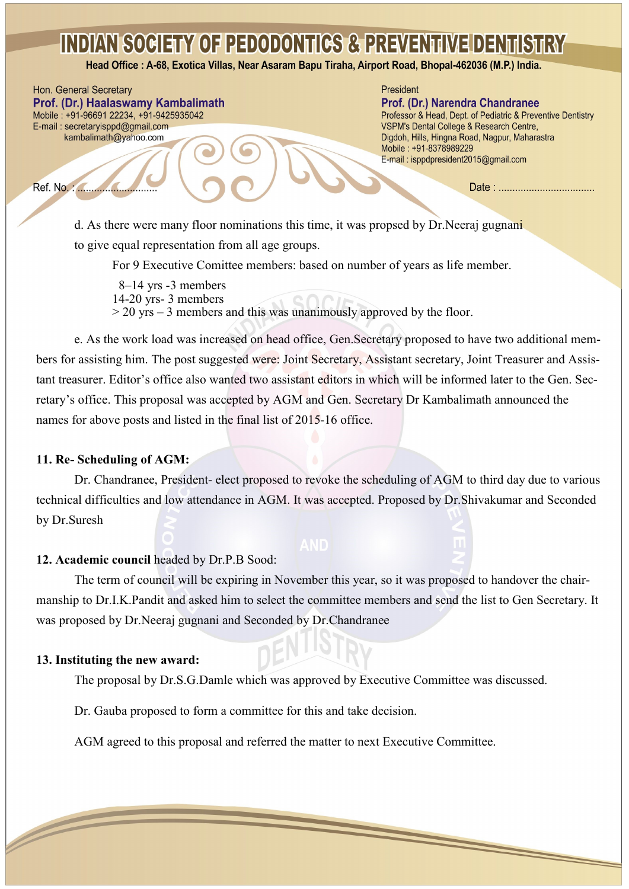Head Office: A-68, Exotica Villas, Near Asaram Bapu Tiraha, Airport Road, Bhopal-462036 (M.P.) India.

Hon. General Secretary Prof. (Dr.) Haalaswamy Kambalimath Mobile: +91-96691 22234, +91-9425935042 E-mail: secretaryisppd@gmail.com kambalimath@yahoo.com

#### President

Prof. (Dr.) Narendra Chandranee Professor & Head, Dept. of Pediatric & Preventive Dentistry VSPM's Dental College & Research Centre,

Digdoh, Hills, Hingna Road, Nagpur, Maharastra Mobile: +91-8378989229 E-mail: isppdpresident2015@gmail.com

Date: ...................................

d. As there were many floor nominations this time, it was propsed by Dr.Neeraj gugnani to give equal representation from all age groups.

For 9 Executive Comittee members: based on number of years as life member.

 8–14 yrs -3 members 14-20 yrs- 3 members > 20 yrs – 3 members and this was unanimously approved by the floor.

e. As the work load was increased on head office, Gen.Secretary proposed to have two additional members for assisting him. The post suggested were: Joint Secretary, Assistant secretary, Joint Treasurer and Assistant treasurer. Editor's office also wanted two assistant editors in which will be informed later to the Gen. Secretary's office. This proposal was accepted by AGM and Gen. Secretary Dr Kambalimath announced the names for above posts and listed in the final list of 2015-16 office.

#### **11. Re- Scheduling of AGM:**

Dr. Chandranee, President- elect proposed to revoke the scheduling of AGM to third day due to various technical difficulties and low attendance in AGM. It was accepted. Proposed by Dr.Shivakumar and Seconded by Dr.Suresh

#### **12. Academic council** headed by Dr.P.B Sood:

The term of council will be expiring in November this year, so it was proposed to handover the chairmanship to Dr.I.K.Pandit and asked him to select the committee members and send the list to Gen Secretary. It was proposed by Dr.Neeraj gugnani and Seconded by Dr.Chandranee

#### **13. Instituting the new award:**

 $\sqrt{2}$ 

The proposal by Dr.S.G.Damle which was approved by Executive Committee was discussed.

Dr. Gauba proposed to form a committee for this and take decision.

AGM agreed to this proposal and referred the matter to next Executive Committee.